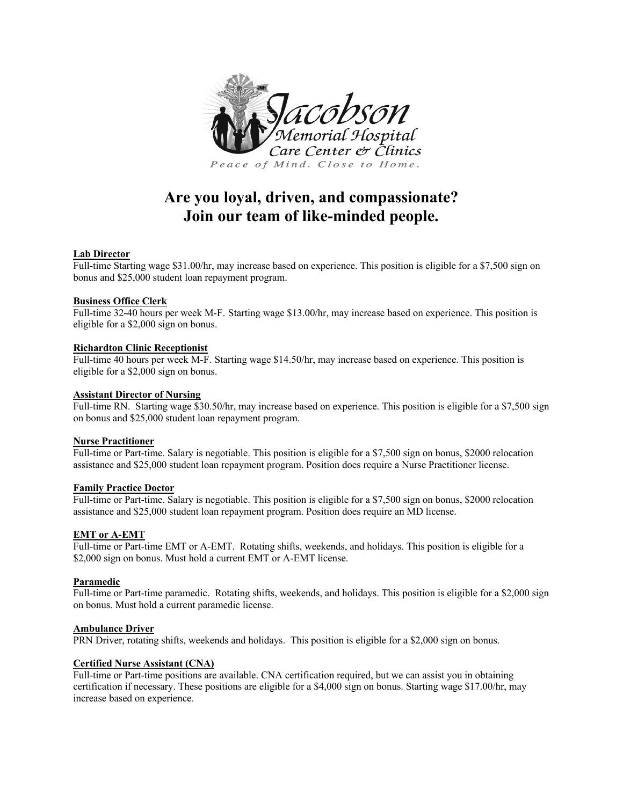

# **Are you loyal, driven, and compassionate? Join our team of like-minded people.**

## **Lab Director**

Full-time Starting wage \$31.00/hr, may increase based on experience. This position is eligible for a \$7,500 sign on bonus and \$25,000 student loan repayment program.

#### **Business Office Clerk**

Full-time 32-40 hours per week M-F. Starting wage \$13.00/hr, may increase based on experience. This position is eligible for a \$2,000 sign on bonus.

## **Richardton Clinic Receptionist**

Full-time 40 hours per week M-F. Starting wage \$14.50/hr, may increase based on experience. This position is eligible for a \$2,000 sign on bonus.

## **Assistant Director of Nursing**

Full-time RN. Starting wage \$30.50/hr, may increase based on experience. This position is eligible for a \$7,500 sign on bonus and \$25,000 student loan repayment program.

# **Nurse Practitioner**

Full-time or Part-time. Salary is negotiable. This position is eligible for a \$7,500 sign on bonus, \$2000 relocation assistance and \$25,000 student loan repayment program. Position does require a Nurse Practitioner license.

#### **Family Practice Doctor**

Full-time or Part-time. Salary is negotiable. This position is eligible for a \$7,500 sign on bonus, \$2000 relocation assistance and \$25,000 student loan repayment program. Position does require an MD license.

# **EMT or A-EMT**

Full-time or Part-time EMT or A-EMT. Rotating shifts, weekends, and holidays. This position is eligible for a \$2,000 sign on bonus. Must hold a current EMT or A-EMT license.

# **Paramedic**

Full-time or Part-time paramedic. Rotating shifts, weekends, and holidays. This position is eligible for a \$2,000 sign on bonus. Must hold a current paramedic license.

#### **Ambulance Driver**

PRN Driver, rotating shifts, weekends and holidays. This position is eligible for a \$2,000 sign on bonus.

#### **Certified Nurse Assistant (CNA)**

Full-time or Part-time positions are available. CNA certification required, but we can assist you in obtaining certification if necessary. These positions are eligible for a \$4,000 sign on bonus. Starting wage \$17.00/hr, may increase based on experience.